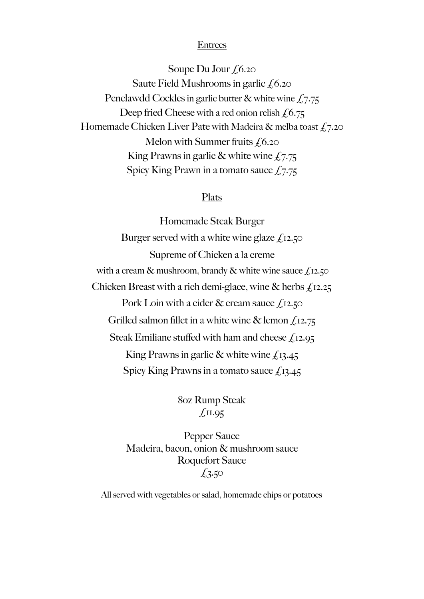#### Entrees

Soupe Du Jour  $f_{0.20}$ Saute Field Mushrooms in garlic  $f(6.20)$ Penclawdd Cockles in garlic butter & white wine  $\text{\textsterling}7.75$ Deep fried Cheese with a red onion relish  $f(6.75)$ Homemade Chicken Liver Pate with Madeira & melba toast  $f(7.20)$ Melon with Summer fruits  $f(6.20)$ King Prawns in garlic & white wine  $f_{0.775}$ Spicy King Prawn in a tomato sauce  $\text{\textsterling}\tau$ .

### Plats

Homemade Steak Burger Burger served with a white wine glaze  $f<sub>12.50</sub>$ Supreme of Chicken a la creme with a cream & mushroom, brandy & white wine sauce  $f(x, z, z)$ Chicken Breast with a rich demi-glace, wine  $\&$  herbs  $f_1$ 12.25 Pork Loin with a cider  $\&$  cream sauce  $\oint_S$ 12.50 Grilled salmon fillet in a white wine & lemon  $f_{12.75}$ Steak Emiliane stuffed with ham and cheese  $f_{12.95}$ King Prawns in garlic  $\&$  white wine  $f_{.}13.45$ Spicy King Prawns in a tomato sauce  $f_1$ 13.45

> 8oz Rump Steak  $\sqrt{11.95}$

Pepper Sauce Madeira, bacon, onion & mushroom sauce Roquefort Sauce  $£3.50$ 

All served with vegetables or salad, homemade chips or potatoes